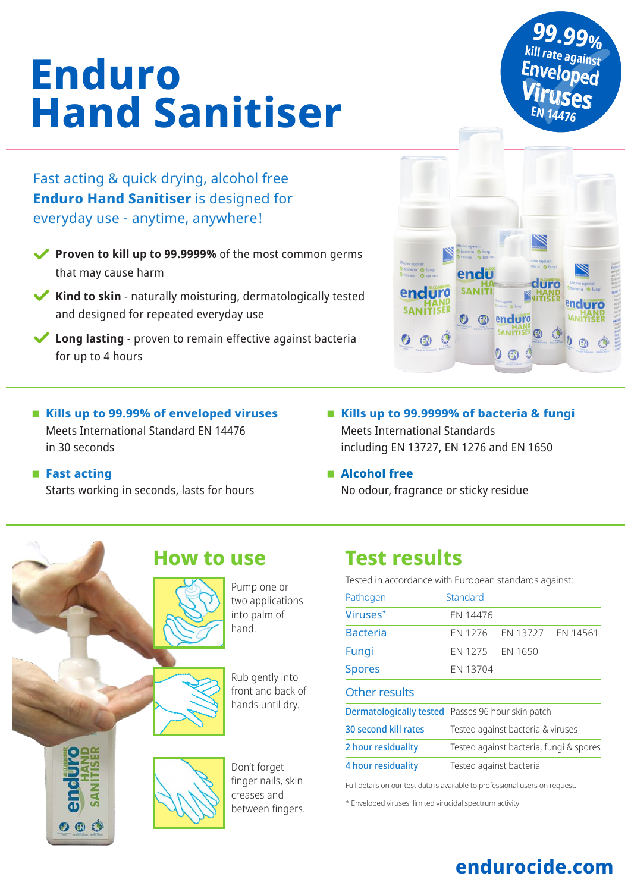# **Enduro Hand Sanitiser**

Fast acting & quick drying, alcohol free **Enduro Hand Sanitiser** is designed for everyday use - anytime, anywhere!

 **Kills up to 99.99% of enveloped viruses**  Meets International Standard EN 14476

Starts working in seconds, lasts for hours

in 30 seconds

 $\mathbf{O} \oplus \mathbf{C}$ 

**Fast acting** 

- **Proven to kill up to 99.9999%** of the most common germs that may cause harm
- **Kind to skin** naturally moisturing, dermatologically tested and designed for repeated everyday use
- **Long lasting**  proven to remain effective against bacteria for up to 4 hours
	- **Kills up to 99.9999% of bacteria & fungi**  Meets International Standards including EN 13727, EN 1276 and EN 1650
	- **Alcohol free**

No odour, fragrance or sticky residue

## **How to use**

Pump one or two applications into palm of hand.

Rub gently into front and back of hands until dry.





## **Test results**

Tested in accordance with European standards against:

| Pathogen             | Standard                                                 |                   |  |
|----------------------|----------------------------------------------------------|-------------------|--|
| Viruses*             | FN 14476                                                 |                   |  |
| <b>Bacteria</b>      | <b>FN 1276</b>                                           | EN 13727 EN 14561 |  |
| Fungi                | EN 1275 EN 1650                                          |                   |  |
| <b>Spores</b>        | EN 13704                                                 |                   |  |
| Other results        |                                                          |                   |  |
|                      | <b>Dermatologically tested</b> Passes 96 hour skin patch |                   |  |
| 30 second kill rates | Tested against bacteria & viruses                        |                   |  |
| 2 hour residuality   | Tested against bacteria, fungi & spores                  |                   |  |
| 4 hour residuality   | Tested against bacteria                                  |                   |  |
|                      |                                                          |                   |  |

Full details on our test data is available to professional users on request.

\* Enveloped viruses: limited virucidal spectrum activity



**®** enduro **SANITISE** 

 $0$   $\circledR$ 

**SANI1** 

diiro

 $\circ$   $\circ$ 

 **99.99% EN 14476 kill rate against**  Enveloped **Viruses**

## **endurocide.com**